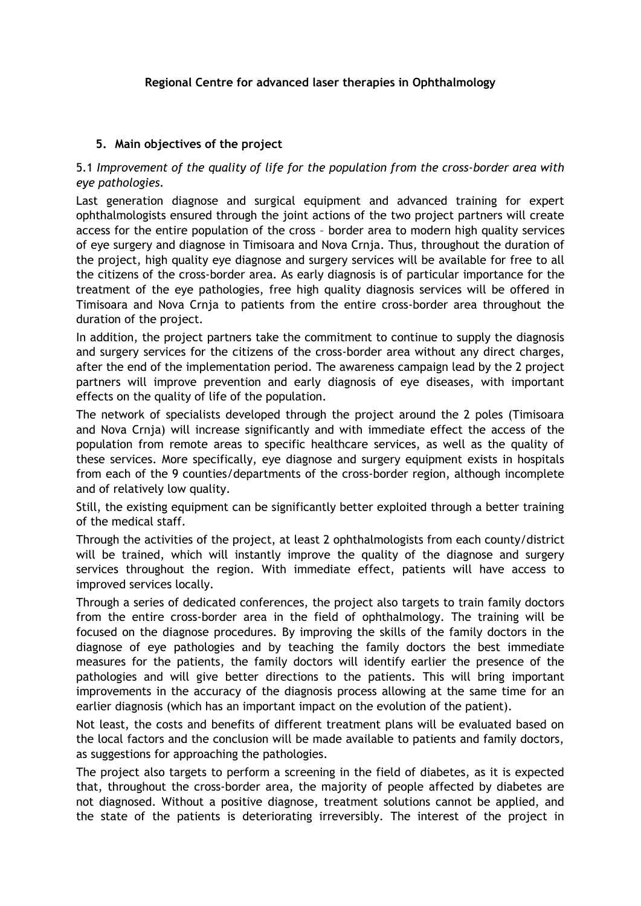## **Regional Centre for advanced laser therapies in Ophthalmology**

## **5. Main objectives of the project**

## 5.1 *Improvement of the quality of life for the population from the cross-border area with eye pathologies.*

Last generation diagnose and surgical equipment and advanced training for expert ophthalmologists ensured through the joint actions of the two project partners will create access for the entire population of the cross – border area to modern high quality services of eye surgery and diagnose in Timisoara and Nova Crnja. Thus, throughout the duration of the project, high quality eye diagnose and surgery services will be available for free to all the citizens of the cross-border area. As early diagnosis is of particular importance for the treatment of the eye pathologies, free high quality diagnosis services will be offered in Timisoara and Nova Crnja to patients from the entire cross-border area throughout the duration of the project.

In addition, the project partners take the commitment to continue to supply the diagnosis and surgery services for the citizens of the cross-border area without any direct charges, after the end of the implementation period. The awareness campaign lead by the 2 project partners will improve prevention and early diagnosis of eye diseases, with important effects on the quality of life of the population.

The network of specialists developed through the project around the 2 poles (Timisoara and Nova Crnja) will increase significantly and with immediate effect the access of the population from remote areas to specific healthcare services, as well as the quality of these services. More specifically, eye diagnose and surgery equipment exists in hospitals from each of the 9 counties/departments of the cross-border region, although incomplete and of relatively low quality.

Still, the existing equipment can be significantly better exploited through a better training of the medical staff.

Through the activities of the project, at least 2 ophthalmologists from each county/district will be trained, which will instantly improve the quality of the diagnose and surgery services throughout the region. With immediate effect, patients will have access to improved services locally.

Through a series of dedicated conferences, the project also targets to train family doctors from the entire cross-border area in the field of ophthalmology. The training will be focused on the diagnose procedures. By improving the skills of the family doctors in the diagnose of eye pathologies and by teaching the family doctors the best immediate measures for the patients, the family doctors will identify earlier the presence of the pathologies and will give better directions to the patients. This will bring important improvements in the accuracy of the diagnosis process allowing at the same time for an earlier diagnosis (which has an important impact on the evolution of the patient).

Not least, the costs and benefits of different treatment plans will be evaluated based on the local factors and the conclusion will be made available to patients and family doctors, as suggestions for approaching the pathologies.

The project also targets to perform a screening in the field of diabetes, as it is expected that, throughout the cross-border area, the majority of people affected by diabetes are not diagnosed. Without a positive diagnose, treatment solutions cannot be applied, and the state of the patients is deteriorating irreversibly. The interest of the project in